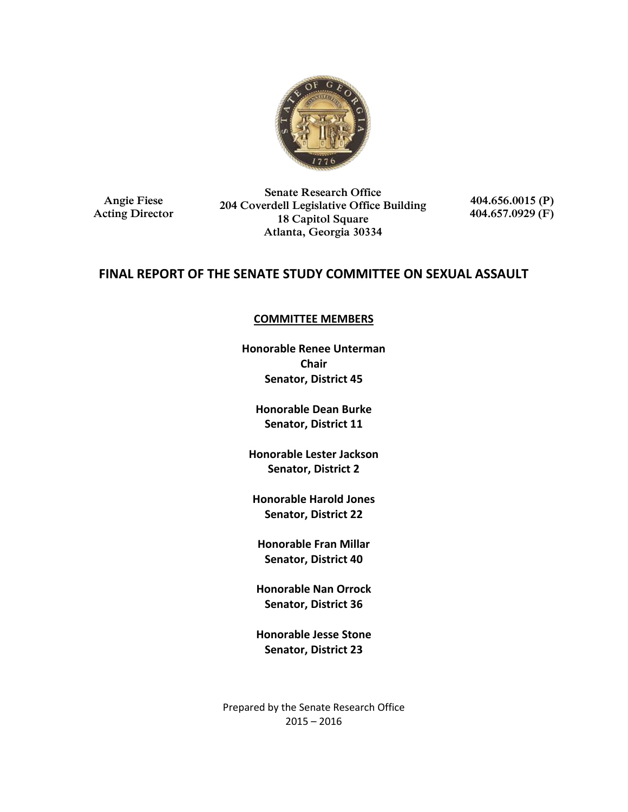

**Angie Fiese Acting Director**

**Senate Research Office 204 Coverdell Legislative Office Building 18 Capitol Square Atlanta, Georgia 30334**

**404.656.0015 (P) 404.657.0929 (F)**

## **FINAL REPORT OF THE SENATE STUDY COMMITTEE ON SEXUAL ASSAULT**

### **COMMITTEE MEMBERS**

**Honorable Renee Unterman Chair Senator, District 45**

**Honorable Dean Burke Senator, District 11**

**Honorable Lester Jackson Senator, District 2**

**Honorable Harold Jones Senator, District 22**

**Honorable Fran Millar Senator, District 40**

**Honorable Nan Orrock Senator, District 36**

**Honorable Jesse Stone Senator, District 23**

Prepared by the Senate Research Office 2015 – 2016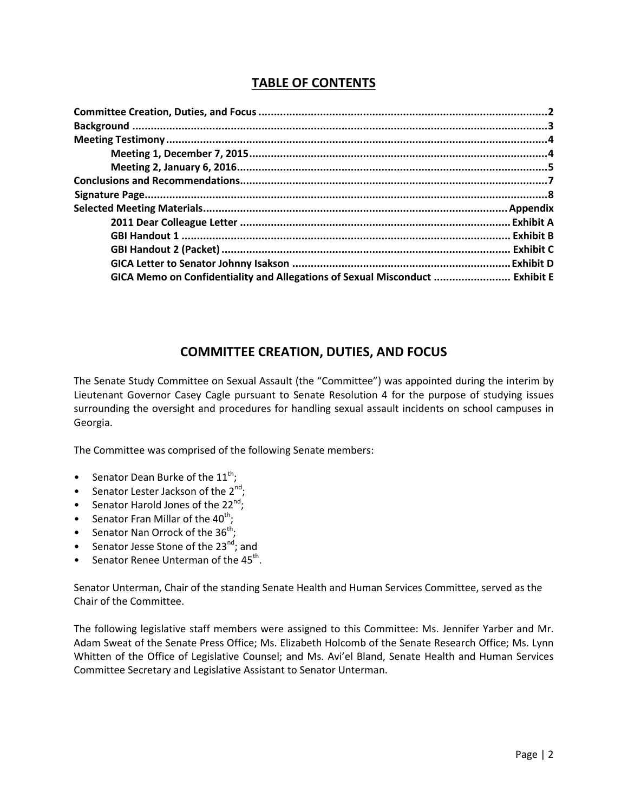# **TABLE OF CONTENTS**

| GICA Memo on Confidentiality and Allegations of Sexual Misconduct  Exhibit E |  |
|------------------------------------------------------------------------------|--|

## **COMMITTEE CREATION, DUTIES, AND FOCUS**

The Senate Study Committee on Sexual Assault (the "Committee") was appointed during the interim by Lieutenant Governor Casey Cagle pursuant to Senate Resolution 4 for the purpose of studying issues surrounding the oversight and procedures for handling sexual assault incidents on school campuses in Georgia.

The Committee was comprised of the following Senate members:

- Senator Dean Burke of the  $11^{th}$ ;
- Senator Lester Jackson of the  $2^{nd}$ ;
- Senator Harold Jones of the  $22^{nd}$ ;
- Senator Fran Millar of the  $40^{th}$ ;
- Senator Nan Orrock of the  $36^{th}$ ;
- Senator Jesse Stone of the 23 $^{nd}$ ; and
- Senator Renee Unterman of the  $45^{th}$ .

Senator Unterman, Chair of the standing Senate Health and Human Services Committee, served as the Chair of the Committee.

The following legislative staff members were assigned to this Committee: Ms. Jennifer Yarber and Mr. Adam Sweat of the Senate Press Office; Ms. Elizabeth Holcomb of the Senate Research Office; Ms. Lynn Whitten of the Office of Legislative Counsel; and Ms. Avi'el Bland, Senate Health and Human Services Committee Secretary and Legislative Assistant to Senator Unterman.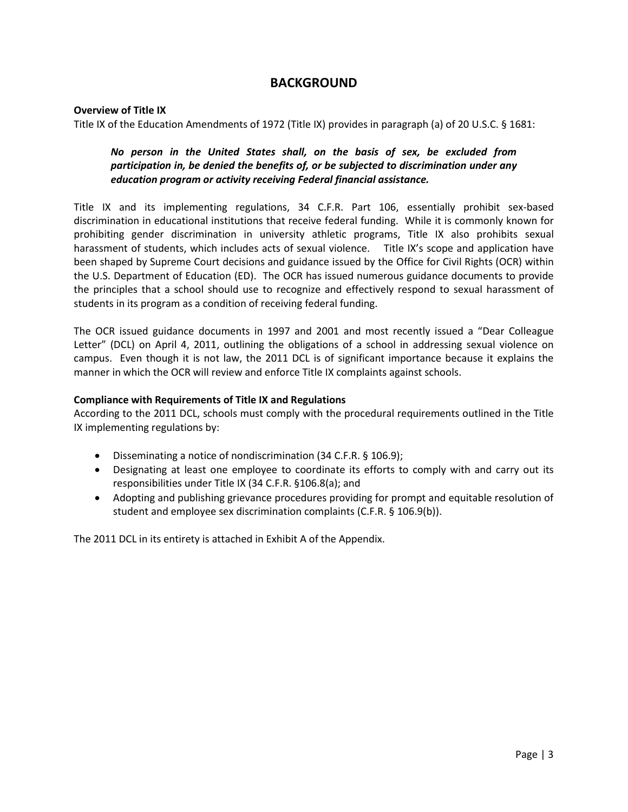### **BACKGROUND**

#### **Overview of Title IX**

Title IX of the Education Amendments of 1972 (Title IX) provides in paragraph (a) of 20 U.S.C. § 1681:

### *No person in the United States shall, on the basis of sex, be excluded from participation in, be denied the benefits of, or be subjected to discrimination under any education program or activity receiving Federal financial assistance.*

Title IX and its implementing regulations, 34 C.F.R. Part 106, essentially prohibit sex-based discrimination in educational institutions that receive federal funding. While it is commonly known for prohibiting gender discrimination in university athletic programs, Title IX also prohibits sexual harassment of students, which includes acts of sexual violence. Title IX's scope and application have been shaped by Supreme Court decisions and guidance issued by the Office for Civil Rights (OCR) within the U.S. Department of Education (ED). The OCR has issued numerous guidance documents to provide the principles that a school should use to recognize and effectively respond to sexual harassment of students in its program as a condition of receiving federal funding.

The OCR issued guidance documents in 1997 and 2001 and most recently issued a "Dear Colleague Letter" (DCL) on April 4, 2011, outlining the obligations of a school in addressing sexual violence on campus. Even though it is not law, the 2011 DCL is of significant importance because it explains the manner in which the OCR will review and enforce Title IX complaints against schools.

#### **Compliance with Requirements of Title IX and Regulations**

According to the 2011 DCL, schools must comply with the procedural requirements outlined in the Title IX implementing regulations by:

- Disseminating a notice of nondiscrimination (34 C.F.R. § 106.9);
- Designating at least one employee to coordinate its efforts to comply with and carry out its responsibilities under Title IX (34 C.F.R. §106.8(a); and
- Adopting and publishing grievance procedures providing for prompt and equitable resolution of student and employee sex discrimination complaints (C.F.R. § 106.9(b)).

The 2011 DCL in its entirety is attached in Exhibit A of the Appendix.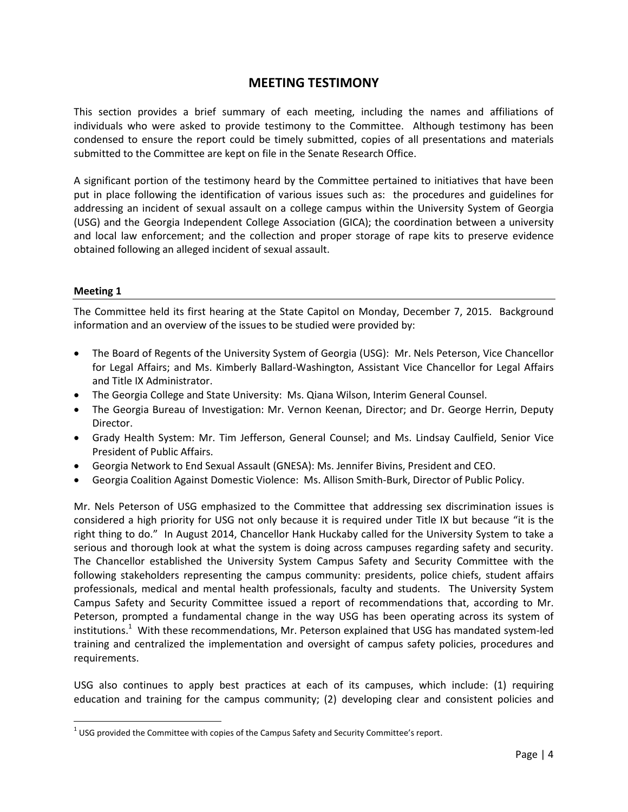### **MEETING TESTIMONY**

This section provides a brief summary of each meeting, including the names and affiliations of individuals who were asked to provide testimony to the Committee. Although testimony has been condensed to ensure the report could be timely submitted, copies of all presentations and materials submitted to the Committee are kept on file in the Senate Research Office.

A significant portion of the testimony heard by the Committee pertained to initiatives that have been put in place following the identification of various issues such as: the procedures and guidelines for addressing an incident of sexual assault on a college campus within the University System of Georgia (USG) and the Georgia Independent College Association (GICA); the coordination between a university and local law enforcement; and the collection and proper storage of rape kits to preserve evidence obtained following an alleged incident of sexual assault.

#### **Meeting 1**

 $\overline{a}$ 

The Committee held its first hearing at the State Capitol on Monday, December 7, 2015. Background information and an overview of the issues to be studied were provided by:

- The Board of Regents of the University System of Georgia (USG): Mr. Nels Peterson, Vice Chancellor for Legal Affairs; and Ms. Kimberly Ballard-Washington, Assistant Vice Chancellor for Legal Affairs and Title IX Administrator.
- The Georgia College and State University: Ms. Qiana Wilson, Interim General Counsel.
- The Georgia Bureau of Investigation: Mr. Vernon Keenan, Director; and Dr. George Herrin, Deputy Director.
- Grady Health System: Mr. Tim Jefferson, General Counsel; and Ms. Lindsay Caulfield, Senior Vice President of Public Affairs.
- Georgia Network to End Sexual Assault (GNESA): Ms. Jennifer Bivins, President and CEO.
- Georgia Coalition Against Domestic Violence: Ms. Allison Smith-Burk, Director of Public Policy.

Mr. Nels Peterson of USG emphasized to the Committee that addressing sex discrimination issues is considered a high priority for USG not only because it is required under Title IX but because "it is the right thing to do." In August 2014, Chancellor Hank Huckaby called for the University System to take a serious and thorough look at what the system is doing across campuses regarding safety and security. The Chancellor established the University System Campus Safety and Security Committee with the following stakeholders representing the campus community: presidents, police chiefs, student affairs professionals, medical and mental health professionals, faculty and students. The University System Campus Safety and Security Committee issued a report of recommendations that, according to Mr. Peterson, prompted a fundamental change in the way USG has been operating across its system of institutions.<sup>1</sup> With these recommendations, Mr. Peterson explained that USG has mandated system-led training and centralized the implementation and oversight of campus safety policies, procedures and requirements.

USG also continues to apply best practices at each of its campuses, which include: (1) requiring education and training for the campus community; (2) developing clear and consistent policies and

 $^{1}$  USG provided the Committee with copies of the Campus Safety and Security Committee's report.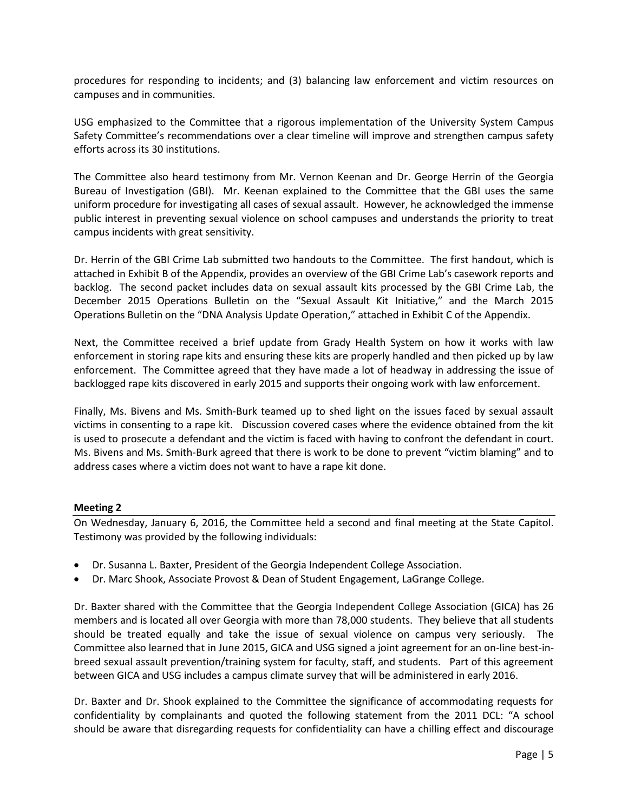procedures for responding to incidents; and (3) balancing law enforcement and victim resources on campuses and in communities.

USG emphasized to the Committee that a rigorous implementation of the University System Campus Safety Committee's recommendations over a clear timeline will improve and strengthen campus safety efforts across its 30 institutions.

The Committee also heard testimony from Mr. Vernon Keenan and Dr. George Herrin of the Georgia Bureau of Investigation (GBI). Mr. Keenan explained to the Committee that the GBI uses the same uniform procedure for investigating all cases of sexual assault. However, he acknowledged the immense public interest in preventing sexual violence on school campuses and understands the priority to treat campus incidents with great sensitivity.

Dr. Herrin of the GBI Crime Lab submitted two handouts to the Committee. The first handout, which is attached in Exhibit B of the Appendix, provides an overview of the GBI Crime Lab's casework reports and backlog. The second packet includes data on sexual assault kits processed by the GBI Crime Lab, the December 2015 Operations Bulletin on the "Sexual Assault Kit Initiative," and the March 2015 Operations Bulletin on the "DNA Analysis Update Operation," attached in Exhibit C of the Appendix.

Next, the Committee received a brief update from Grady Health System on how it works with law enforcement in storing rape kits and ensuring these kits are properly handled and then picked up by law enforcement. The Committee agreed that they have made a lot of headway in addressing the issue of backlogged rape kits discovered in early 2015 and supports their ongoing work with law enforcement.

Finally, Ms. Bivens and Ms. Smith-Burk teamed up to shed light on the issues faced by sexual assault victims in consenting to a rape kit. Discussion covered cases where the evidence obtained from the kit is used to prosecute a defendant and the victim is faced with having to confront the defendant in court. Ms. Bivens and Ms. Smith-Burk agreed that there is work to be done to prevent "victim blaming" and to address cases where a victim does not want to have a rape kit done.

#### **Meeting 2**

On Wednesday, January 6, 2016, the Committee held a second and final meeting at the State Capitol. Testimony was provided by the following individuals:

- Dr. Susanna L. Baxter, President of the Georgia Independent College Association.
- Dr. Marc Shook, Associate Provost & Dean of Student Engagement, LaGrange College.

Dr. Baxter shared with the Committee that the Georgia Independent College Association (GICA) has 26 members and is located all over Georgia with more than 78,000 students. They believe that all students should be treated equally and take the issue of sexual violence on campus very seriously. The Committee also learned that in June 2015, GICA and USG signed a joint agreement for an on-line best-inbreed sexual assault prevention/training system for faculty, staff, and students. Part of this agreement between GICA and USG includes a campus climate survey that will be administered in early 2016.

Dr. Baxter and Dr. Shook explained to the Committee the significance of accommodating requests for confidentiality by complainants and quoted the following statement from the 2011 DCL: "A school should be aware that disregarding requests for confidentiality can have a chilling effect and discourage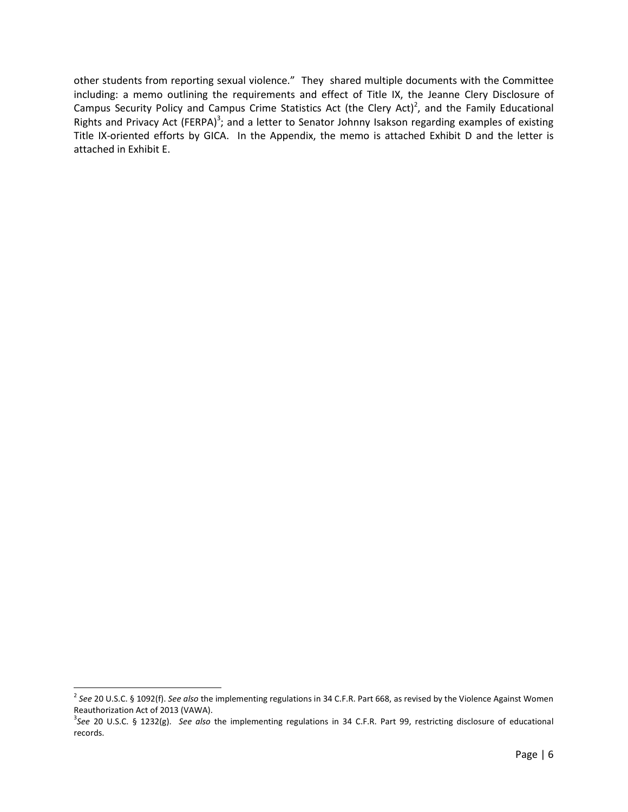other students from reporting sexual violence." They shared multiple documents with the Committee including: a memo outlining the requirements and effect of Title IX, the Jeanne Clery Disclosure of Campus Security Policy and Campus Crime Statistics Act (the Clery Act)<sup>2</sup>, and the Family Educational Rights and Privacy Act (FERPA)<sup>3</sup>; and a letter to Senator Johnny Isakson regarding examples of existing Title IX-oriented efforts by GICA. In the Appendix, the memo is attached Exhibit D and the letter is attached in Exhibit E.

 $\overline{a}$ 

<sup>2</sup> *See* 20 U.S.C. § 1092(f). *See also* the implementing regulations in 34 C.F.R. Part 668, as revised by the Violence Against Women Reauthorization Act of 2013 (VAWA).

<sup>3</sup> *See* 20 U.S.C. § 1232(g). *See also* the implementing regulations in 34 C.F.R. Part 99, restricting disclosure of educational records.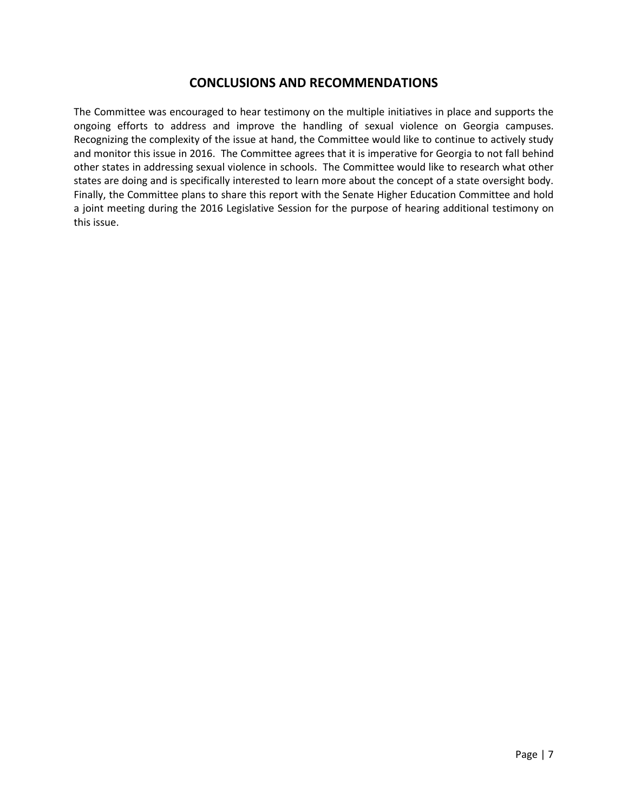## **CONCLUSIONS AND RECOMMENDATIONS**

The Committee was encouraged to hear testimony on the multiple initiatives in place and supports the ongoing efforts to address and improve the handling of sexual violence on Georgia campuses. Recognizing the complexity of the issue at hand, the Committee would like to continue to actively study and monitor this issue in 2016. The Committee agrees that it is imperative for Georgia to not fall behind other states in addressing sexual violence in schools. The Committee would like to research what other states are doing and is specifically interested to learn more about the concept of a state oversight body. Finally, the Committee plans to share this report with the Senate Higher Education Committee and hold a joint meeting during the 2016 Legislative Session for the purpose of hearing additional testimony on this issue.